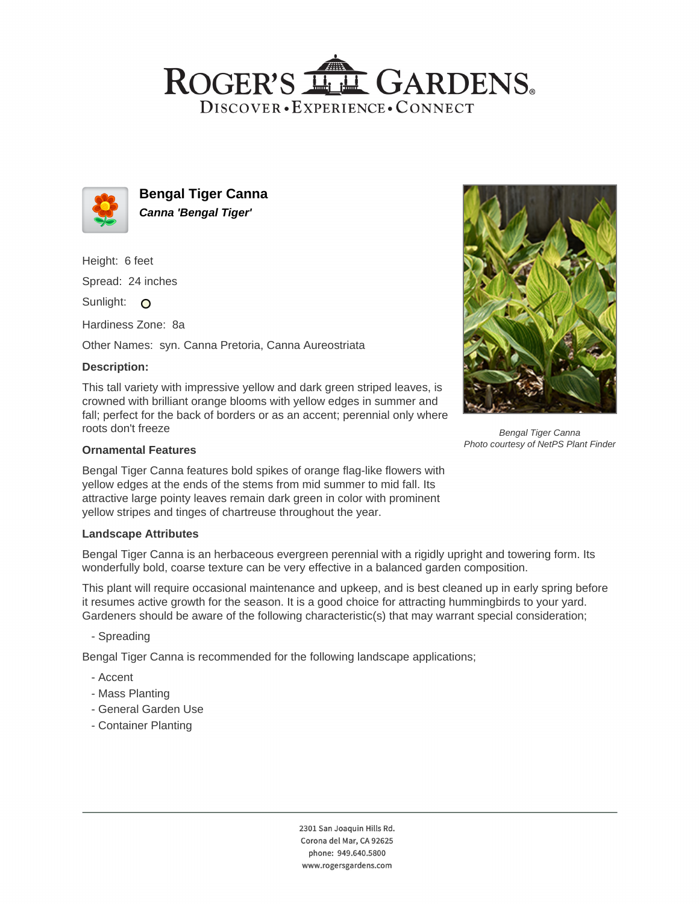## ROGER'S LL GARDENS. DISCOVER · EXPERIENCE · CONNECT



**Bengal Tiger Canna Canna 'Bengal Tiger'**

Height: 6 feet

Spread: 24 inches

Sunlight: O

Hardiness Zone: 8a

Other Names: syn. Canna Pretoria, Canna Aureostriata

## **Description:**

This tall variety with impressive yellow and dark green striped leaves, is crowned with brilliant orange blooms with yellow edges in summer and fall; perfect for the back of borders or as an accent; perennial only where roots don't freeze

### **Ornamental Features**

Bengal Tiger Canna features bold spikes of orange flag-like flowers with yellow edges at the ends of the stems from mid summer to mid fall. Its attractive large pointy leaves remain dark green in color with prominent yellow stripes and tinges of chartreuse throughout the year.

#### **Landscape Attributes**

Bengal Tiger Canna is an herbaceous evergreen perennial with a rigidly upright and towering form. Its wonderfully bold, coarse texture can be very effective in a balanced garden composition.

This plant will require occasional maintenance and upkeep, and is best cleaned up in early spring before it resumes active growth for the season. It is a good choice for attracting hummingbirds to your yard. Gardeners should be aware of the following characteristic(s) that may warrant special consideration;

- Spreading

Bengal Tiger Canna is recommended for the following landscape applications;

- Accent
- Mass Planting
- General Garden Use
- Container Planting



Bengal Tiger Canna Photo courtesy of NetPS Plant Finder

2301 San Joaquin Hills Rd. Corona del Mar, CA 92625 phone: 949.640.5800 www.rogersgardens.com